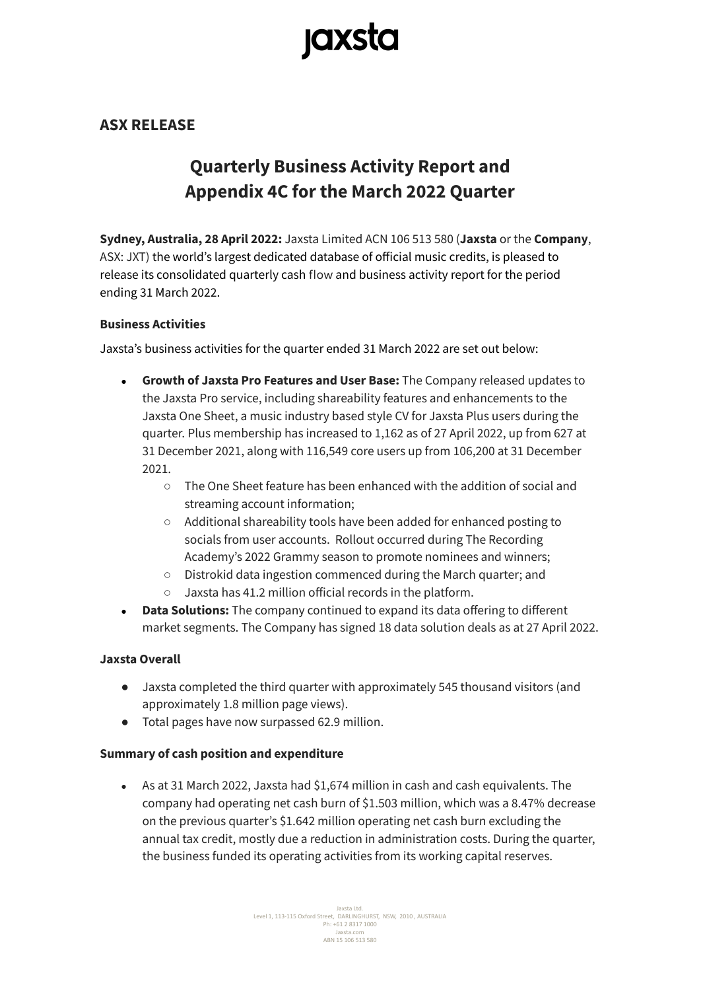# **jaxsta**

## **ASX RELEASE**

# **Quarterly Business Activity Report and Appendix 4C for the March 2022 Quarter**

**Sydney, Australia, 28 April 2022:** Jaxsta Limited ACN 106 513 580 (**Jaxsta** or the **Company**, ASX: JXT) the world's largest dedicated database of official music credits, is pleased to release its consolidated quarterly cash flow and business activity report for the period ending 31 March 2022.

### **Business Activities**

Jaxsta's business activities for the quarter ended 31 March 2022 are set out below:

- **Growth of Jaxsta Pro Features and User Base:** The Company released updates to the Jaxsta Pro service, including shareability features and enhancements to the Jaxsta One Sheet, a music industry based style CV for Jaxsta Plus users during the quarter. Plus membership has increased to 1,162 as of 27 April 2022, up from 627 at 31 December 2021, along with 116,549 core users up from 106,200 at 31 December 2021.
	- The One Sheet feature has been enhanced with the addition of social and streaming account information;
	- Additional shareability tools have been added for enhanced posting to socials from user accounts. Rollout occurred during The Recording Academy's 2022 Grammy season to promote nominees and winners;
	- Distrokid data ingestion commenced during the March quarter; and
	- Jaxsta has 41.2 million official records in the platform.
- **Data Solutions:** The company continued to expand its data offering to different market segments. The Company has signed 18 data solution deals as at 27 April 2022.

### **Jaxsta Overall**

- Jaxsta completed the third quarter with approximately 545 thousand visitors (and approximately 1.8 million page views).
- Total pages have now surpassed 62.9 million.

### **Summary of cash position and expenditure**

● As at 31 March 2022, Jaxsta had \$1,674 million in cash and cash equivalents. The company had operating net cash burn of \$1.503 million, which was a 8.47% decrease on the previous quarter's \$1.642 million operating net cash burn excluding the annual tax credit, mostly due a reduction in administration costs. During the quarter, the business funded its operating activities from its working capital reserves.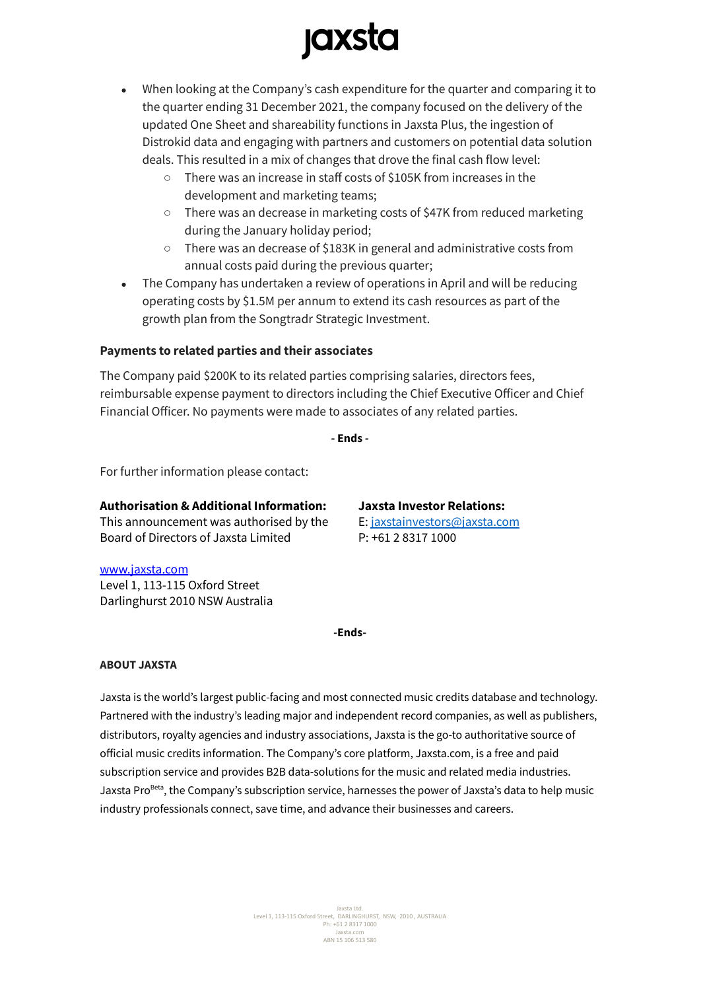# **jaxsta**

- When looking at the Company's cash expenditure for the quarter and comparing it to the quarter ending 31 December 2021, the company focused on the delivery of the updated One Sheet and shareability functions in Jaxsta Plus, the ingestion of Distrokid data and engaging with partners and customers on potential data solution deals. This resulted in a mix of changes that drove the final cash flow level:
	- There was an increase in staff costs of \$105K from increases in the development and marketing teams;
	- There was an decrease in marketing costs of \$47K from reduced marketing during the January holiday period;
	- There was an decrease of \$183K in general and administrative costs from annual costs paid during the previous quarter;
- The Company has undertaken a review of operations in April and will be reducing operating costs by \$1.5M per annum to extend its cash resources as part of the growth plan from the Songtradr Strategic Investment.

## **Payments to related parties and their associates**

The Company paid \$200K to its related parties comprising salaries, directors fees, reimbursable expense payment to directors including the Chief Executive Officer and Chief Financial Officer. No payments were made to associates of any related parties.

**- Ends -**

For further information please contact:

## **Authorisation & Additional Information:**

This announcement was authorised by the Board of Directors of Jaxsta Limited

**Jaxsta Investor Relations:** E: [jaxstainvestors@jaxsta.com](mailto:jaxstainvestors@jaxsta.com) P: +61 2 8317 1000

### [www.jaxsta.com](http://www.jaxsta.com)

Level 1, 113-115 Oxford Street Darlinghurst 2010 NSW Australia

**-Ends-**

### **ABOUT JAXSTA**

Jaxsta is the world's largest public-facing and most connected music credits database and technology. Partnered with the industry's leading major and independent record companies, as well as publishers, distributors, royalty agencies and industry associations, Jaxsta is the go-to authoritative source of official music credits information. The Company's core platform, Jaxsta.com, is a free and paid subscription service and provides B2B data-solutions for the music and related media industries. Jaxsta Pro Beta , the Company's subscription service, harnesses the power of Jaxsta's data to help music industry professionals connect, save time, and advance their businesses and careers.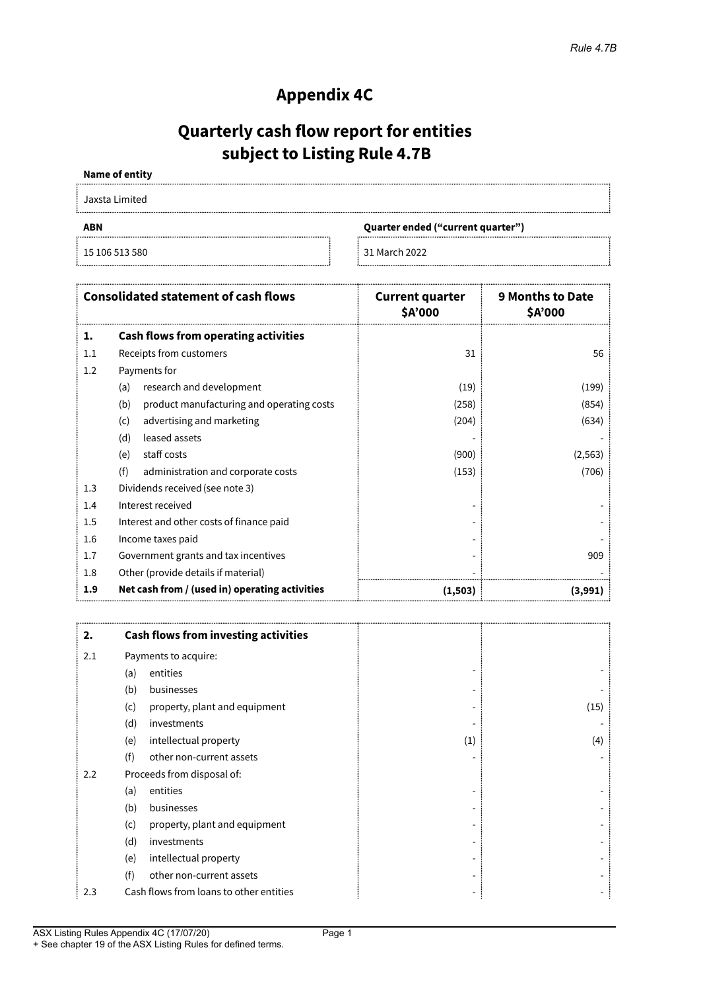# **Appendix 4C**

# **Quarterly cash flow report for entities subject to Listing Rule 4.7B**

#### **Name of entity**

Jaxsta Limited

| Quarter ended ("current quarter")<br>ABN |  |                 |
|------------------------------------------|--|-----------------|
| 15 106 513 580                           |  | ┊ 31 March 2022 |

|     | <b>Consolidated statement of cash flows</b>    | <b>Current quarter</b><br><b>SA'000</b> | <b>9 Months to Date</b><br>\$A'000 |
|-----|------------------------------------------------|-----------------------------------------|------------------------------------|
| ı.  | <b>Cash flows from operating activities</b>    |                                         |                                    |
| 1.1 | Receipts from customers                        | 31                                      | 56                                 |
| 1.2 | Payments for                                   |                                         |                                    |
| (a) | research and development                       | (19)                                    | (199)                              |
| (b) | product manufacturing and operating costs      | (258)                                   | (854)                              |
| (c) | advertising and marketing                      | (204)                                   | (634)                              |
| (d) | leased assets                                  |                                         |                                    |
| (e) | staff costs                                    | (900)                                   | (2, 563)                           |
| (f) | administration and corporate costs             | (153)                                   | (706)                              |
| 1.3 | Dividends received (see note 3)                |                                         |                                    |
| 1.4 | Interest received                              |                                         |                                    |
| 1.5 | Interest and other costs of finance paid       |                                         |                                    |
| 1.6 | Income taxes paid                              |                                         |                                    |
| 1.7 | Government grants and tax incentives           |                                         | 909                                |
| 1.8 | Other (provide details if material)            |                                         |                                    |
| 1.9 | Net cash from / (used in) operating activities | (1,503)                                 | (3,991)                            |

| 2.  |     | <b>Cash flows from investing activities</b> |     |      |
|-----|-----|---------------------------------------------|-----|------|
| 2.1 |     | Payments to acquire:                        |     |      |
|     | (a) | entities                                    |     |      |
|     | (b) | businesses                                  |     |      |
|     | (c) | property, plant and equipment               |     | (15) |
|     | (d) | investments                                 |     |      |
|     | (e) | intellectual property                       | (1) | (4)  |
|     | (f) | other non-current assets                    |     |      |
| 2.2 |     | Proceeds from disposal of:                  |     |      |
|     | (a) | entities                                    |     |      |
|     | (b) | businesses                                  |     |      |
|     | (c) | property, plant and equipment               |     |      |
|     | (d) | investments                                 |     |      |
|     | (e) | intellectual property                       |     |      |
|     | (f) | other non-current assets                    |     |      |
| 2.3 |     | Cash flows from loans to other entities     |     |      |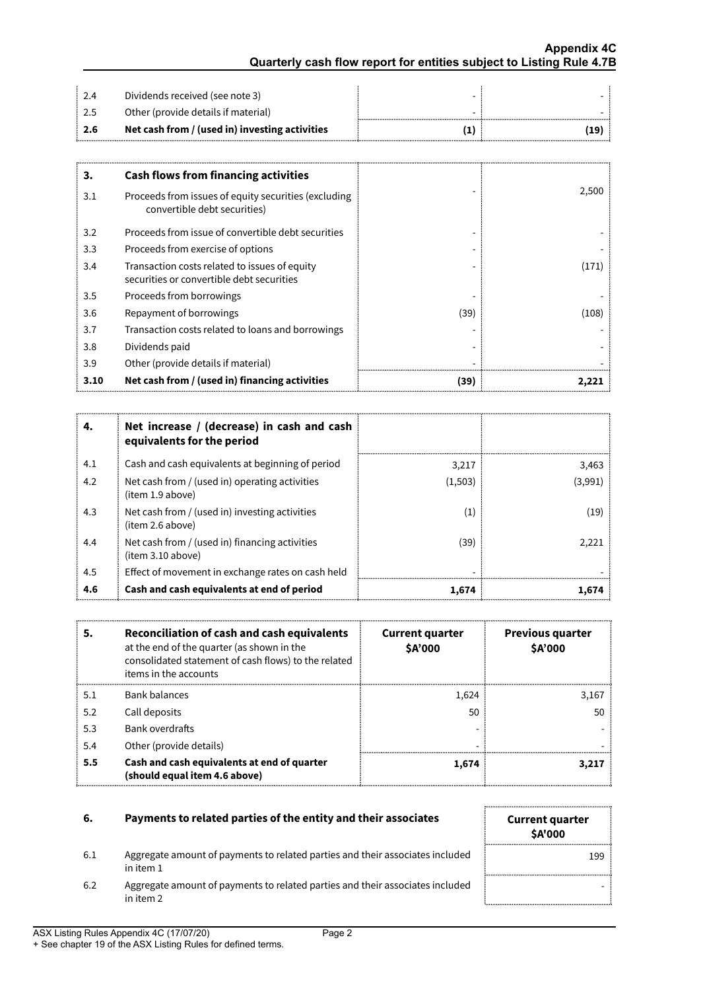|       | Dividends received (see note 3)                |    |
|-------|------------------------------------------------|----|
| -2.5  | Other (provide details if material)            |    |
| - 2.6 | Net cash from / (used in) investing activities | 19 |

| З.   | <b>Cash flows from financing activities</b>                                                |      |       |
|------|--------------------------------------------------------------------------------------------|------|-------|
| 3.1  | Proceeds from issues of equity securities (excluding<br>convertible debt securities)       |      | 2,500 |
| 3.2  | Proceeds from issue of convertible debt securities                                         |      |       |
| 3.3  | Proceeds from exercise of options                                                          |      |       |
| 3.4  | Transaction costs related to issues of equity<br>securities or convertible debt securities |      | (171  |
| 3.5  | Proceeds from borrowings                                                                   |      |       |
| 3.6  | Repayment of borrowings                                                                    | (39) | (108) |
| 3.7  | Transaction costs related to loans and borrowings                                          |      |       |
| 3.8  | Dividends paid                                                                             |      |       |
| 3.9  | Other (provide details if material)                                                        |      |       |
| 3.10 | Net cash from / (used in) financing activities                                             | (39) |       |

|     | Net increase / (decrease) in cash and cash<br>equivalents for the period |                   |         |
|-----|--------------------------------------------------------------------------|-------------------|---------|
| 4.1 | Cash and cash equivalents at beginning of period                         | 3,217             | 3,463   |
| 4.2 | Net cash from / (used in) operating activities<br>(item 1.9 above)       | (1,503)           | (3,991) |
| 4.3 | Net cash from / (used in) investing activities<br>(item 2.6 above)       | $\left( 1\right)$ | (19)    |
| 4.4 | Net cash from / (used in) financing activities<br>(item 3.10 above)      | (39)              | 2.221   |
| 4.5 | Effect of movement in exchange rates on cash held                        |                   |         |
| 4.6 | Cash and cash equivalents at end of period                               | 1.674             | 1.674   |

|     | <b>Reconciliation of cash and cash equivalents</b><br>at the end of the quarter (as shown in the<br>consolidated statement of cash flows) to the related<br>items in the accounts | <b>Current quarter</b><br><b>SA'000</b> | <b>Previous quarter</b><br><b>SA'000</b> |
|-----|-----------------------------------------------------------------------------------------------------------------------------------------------------------------------------------|-----------------------------------------|------------------------------------------|
| 5.1 | <b>Bank balances</b>                                                                                                                                                              | 1,624                                   | 3.167                                    |
| 5.2 | Call deposits                                                                                                                                                                     | 50                                      | 50                                       |
| 5.3 | Bank overdrafts                                                                                                                                                                   |                                         |                                          |
| 5.4 | Other (provide details)                                                                                                                                                           |                                         |                                          |
| 5.5 | Cash and cash equivalents at end of quarter<br>(should equal item 4.6 above)                                                                                                      | 1.674                                   |                                          |

| -6. | Payments to related parties of the entity and their associates                             | <b>Current quarter</b><br><b>SA'000</b> |
|-----|--------------------------------------------------------------------------------------------|-----------------------------------------|
| 6.1 | Aggregate amount of payments to related parties and their associates included<br>in item 1 | 199                                     |
| 6.2 | Aggregate amount of payments to related parties and their associates included<br>in item 2 |                                         |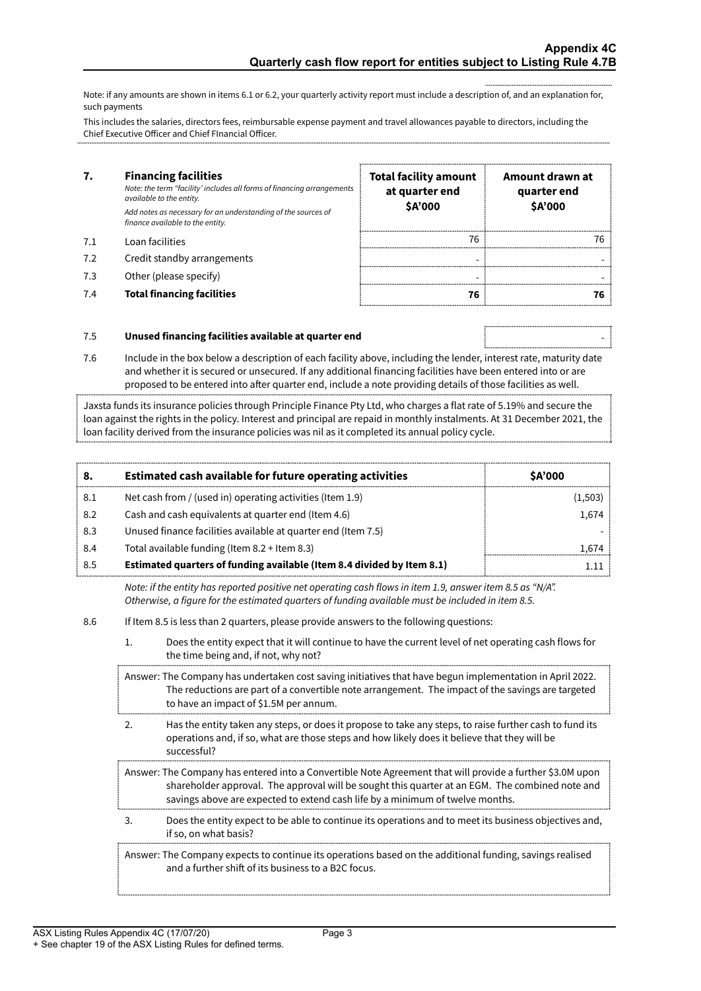Note: if any amounts are shown in items 6.1 or 6.2, your quarterly activity report must include a description of, and an explanation for, such payments

This includes the salaries, directors fees, reimbursable expense payment and travel allowances payable to directors, including the Chief Executive Officer and Chief FInancial Officer.

|     | <b>Financing facilities</b><br>Note: the term "facility' includes all forms of financing arrangements<br>available to the entity.<br>Add notes as necessary for an understanding of the sources of<br>finance available to the entity. | <b>Total facility amount</b><br>at quarter end<br><b>SA'000</b> | Amount drawn at<br>quarter end<br><b>SA'000</b> |
|-----|----------------------------------------------------------------------------------------------------------------------------------------------------------------------------------------------------------------------------------------|-----------------------------------------------------------------|-------------------------------------------------|
|     | Loan facilities                                                                                                                                                                                                                        | 76                                                              |                                                 |
| 7.2 | Credit standby arrangements                                                                                                                                                                                                            |                                                                 |                                                 |
| 7.3 | Other (please specify)                                                                                                                                                                                                                 |                                                                 |                                                 |
|     | <b>Total financing facilities</b>                                                                                                                                                                                                      | 76                                                              |                                                 |

#### 7.5 **Unused financing facilities available at quarter end** -

7.6 Include in the box below a description of each facility above, including the lender, interest rate, maturity date and whether it is secured or unsecured. If any additional financing facilities have been entered into or are proposed to be entered into after quarter end, include a note providing details of those facilities as well.

Jaxsta funds its insurance policies through Principle Finance Pty Ltd, who charges a flat rate of 5.19% and secure the loan against the rights in the policy. Interest and principal are repaid in monthly instalments. At 31 December 2021, the loan facility derived from the insurance policies was nil as it completed its annual policy cycle.

| 8.  | Estimated cash available for future operating activities               | <b>SA'000</b> |
|-----|------------------------------------------------------------------------|---------------|
| 8.1 | Net cash from / (used in) operating activities (Item 1.9)              | (1.503)       |
| 8.2 | Cash and cash equivalents at quarter end (Item 4.6)                    | 1.674         |
| 8.3 | Unused finance facilities available at quarter end (Item 7.5)          |               |
| 8.4 | Total available funding (Item 8.2 + Item 8.3)                          | 1.674         |
| 8.5 | Estimated quarters of funding available (Item 8.4 divided by Item 8.1) |               |

Note: if the entity has reported positive net operating cash flows in item 1.9, answer item 8.5 as "N/A". *Otherwise, a figure for the estimated quarters of funding available must be included in item 8.5.*

#### 8.6 If Item 8.5 is less than 2 quarters, please provide answers to the following questions:

1. Does the entity expect that it will continue to have the current level of net operating cash flows for the time being and, if not, why not?

Answer: The Company has undertaken cost saving initiatives that have begun implementation in April 2022. The reductions are part of a convertible note arrangement. The impact of the savings are targeted to have an impact of \$1.5M per annum.

2. Has the entity taken any steps, or does it propose to take any steps, to raise further cash to fund its operations and, if so, what are those steps and how likely does it believe that they will be successful?

Answer: The Company has entered into a Convertible Note Agreement that will provide a further \$3.0M upon shareholder approval. The approval will be sought this quarter at an EGM. The combined note and savings above are expected to extend cash life by a minimum of twelve months.

3. Does the entity expect to be able to continue its operations and to meet its business objectives and, if so, on what basis?

Answer: The Company expects to continue its operations based on the additional funding, savings realised and a further shift of its business to a B2C focus.